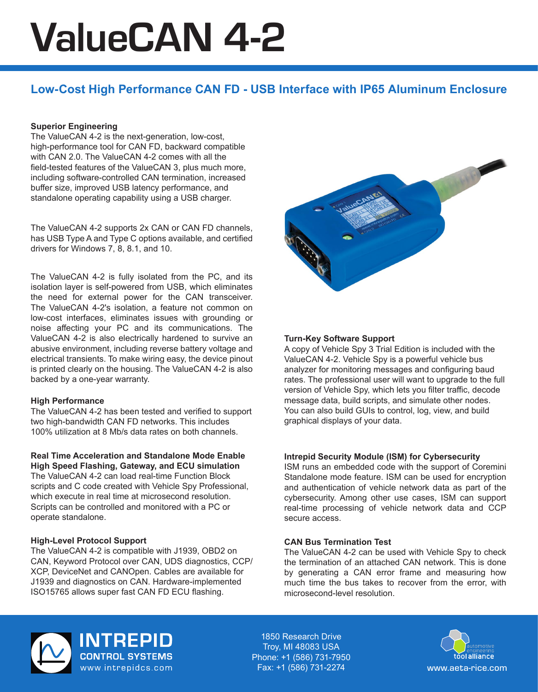# ValueCAN 4-2

## **Low-Cost High Performance CAN FD - USB Interface with IP65 Aluminum Enclosure**

#### **Superior Engineering**

The ValueCAN 4-2 is the next-generation, low-cost, high-performance tool for CAN FD, backward compatible with CAN 2.0. The ValueCAN 4-2 comes with all the field-tested features of the ValueCAN 3, plus much more, including software-controlled CAN termination, increased buffer size, improved USB latency performance, and standalone operating capability using a USB charger.

The ValueCAN 4-2 supports 2x CAN or CAN FD channels, has USB Type A and Type C options available, and certified drivers for Windows 7, 8, 8.1, and 10.

The ValueCAN 4-2 is fully isolated from the PC, and its isolation layer is self-powered from USB, which eliminates the need for external power for the CAN transceiver. The ValueCAN 4-2's isolation, a feature not common on low-cost interfaces, eliminates issues with grounding or noise affecting your PC and its communications. The ValueCAN 4-2 is also electrically hardened to survive an abusive environment, including reverse battery voltage and electrical transients. To make wiring easy, the device pinout is printed clearly on the housing. The ValueCAN 4-2 is also backed by a one-year warranty.

#### **High Performance**

The ValueCAN 4-2 has been tested and verified to support two high-bandwidth CAN FD networks. This includes 100% utilization at 8 Mb/s data rates on both channels.

### **Real Time Acceleration and Standalone Mode Enable**

**High Speed Flashing, Gateway, and ECU simulation** The ValueCAN 4-2 can load real-time Function Block scripts and C code created with Vehicle Spy Professional, which execute in real time at microsecond resolution. Scripts can be controlled and monitored with a PC or operate standalone.

#### **High-Level Protocol Support**

The ValueCAN 4-2 is compatible with J1939, OBD2 on CAN, Keyword Protocol over CAN, UDS diagnostics, CCP/ XCP, DeviceNet and CANOpen. Cables are available for J1939 and diagnostics on CAN. Hardware-implemented ISO15765 allows super fast CAN FD ECU flashing.



#### **Turn-Key Software Support**

A copy of Vehicle Spy 3 Trial Edition is included with the ValueCAN 4-2. Vehicle Spy is a powerful vehicle bus analyzer for monitoring messages and configuring baud rates. The professional user will want to upgrade to the full version of Vehicle Spy, which lets you filter traffic, decode message data, build scripts, and simulate other nodes. You can also build GUIs to control, log, view, and build graphical displays of your data.

#### **Intrepid Security Module (ISM) for Cybersecurity**

ISM runs an embedded code with the support of Coremini Standalone mode feature. ISM can be used for encryption and authentication of vehicle network data as part of the cybersecurity. Among other use cases, ISM can support real-time processing of vehicle network data and CCP secure access.

#### **CAN Bus Termination Test**

The ValueCAN 4-2 can be used with Vehicle Spy to check the termination of an attached CAN network. This is done by generating a CAN error frame and measuring how much time the bus takes to recover from the error, with microsecond-level resolution.



**INTREPID**<br>CONTROL SYSTEMS www.intrepidcs.com

1850 Research Drive Troy, MI 48083 USA Phone: +1 (586) 731-7950 Fax: +1 (586) 731-2274